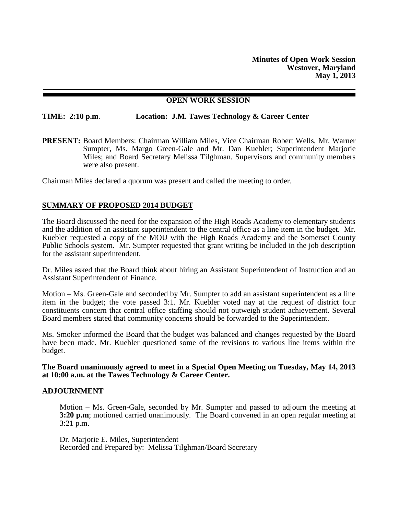**Minutes of Open Work Session Westover, Maryland May 1, 2013**

# **OPEN WORK SESSION**

**TIME: 2:10 p.m**. **Location: J.M. Tawes Technology & Career Center**

**PRESENT:** Board Members: Chairman William Miles, Vice Chairman Robert Wells, Mr. Warner Sumpter, Ms. Margo Green-Gale and Mr. Dan Kuebler; Superintendent Marjorie Miles; and Board Secretary Melissa Tilghman. Supervisors and community members were also present.

Chairman Miles declared a quorum was present and called the meeting to order.

# **SUMMARY OF PROPOSED 2014 BUDGET**

The Board discussed the need for the expansion of the High Roads Academy to elementary students and the addition of an assistant superintendent to the central office as a line item in the budget. Mr. Kuebler requested a copy of the MOU with the High Roads Academy and the Somerset County Public Schools system. Mr. Sumpter requested that grant writing be included in the job description for the assistant superintendent.

Dr. Miles asked that the Board think about hiring an Assistant Superintendent of Instruction and an Assistant Superintendent of Finance.

Motion – Ms. Green-Gale and seconded by Mr. Sumpter to add an assistant superintendent as a line item in the budget; the vote passed 3:1. Mr. Kuebler voted nay at the request of district four constituents concern that central office staffing should not outweigh student achievement. Several Board members stated that community concerns should be forwarded to the Superintendent.

Ms. Smoker informed the Board that the budget was balanced and changes requested by the Board have been made. Mr. Kuebler questioned some of the revisions to various line items within the budget.

**The Board unanimously agreed to meet in a Special Open Meeting on Tuesday, May 14, 2013 at 10:00 a.m. at the Tawes Technology & Career Center.** 

#### **ADJOURNMENT**

Motion – Ms. Green-Gale, seconded by Mr. Sumpter and passed to adjourn the meeting at **3:20 p.m**; motioned carried unanimously. The Board convened in an open regular meeting at 3:21 p.m.

Dr. Marjorie E. Miles, Superintendent Recorded and Prepared by: Melissa Tilghman/Board Secretary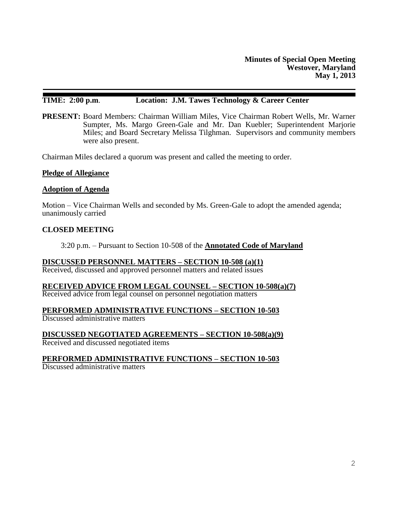# **TIME: 2:00 p.m**. **Location: J.M. Tawes Technology & Career Center**

**PRESENT:** Board Members: Chairman William Miles, Vice Chairman Robert Wells, Mr. Warner Sumpter, Ms. Margo Green-Gale and Mr. Dan Kuebler; Superintendent Marjorie Miles; and Board Secretary Melissa Tilghman. Supervisors and community members were also present.

Chairman Miles declared a quorum was present and called the meeting to order.

#### **Pledge of Allegiance**

#### **Adoption of Agenda**

Motion – Vice Chairman Wells and seconded by Ms. Green-Gale to adopt the amended agenda; unanimously carried

# **CLOSED MEETING**

3:20 p.m. – Pursuant to Section 10-508 of the **Annotated Code of Maryland**

#### **DISCUSSED PERSONNEL MATTERS – SECTION 10-508 (a)(1)**

Received, discussed and approved personnel matters and related issues

**RECEIVED ADVICE FROM LEGAL COUNSEL – SECTION 10-508(a)(7)**

Received advice from legal counsel on personnel negotiation matters

#### **PERFORMED ADMINISTRATIVE FUNCTIONS – SECTION 10-503**

Discussed administrative matters

**DISCUSSED NEGOTIATED AGREEMENTS – SECTION 10-508(a)(9)** Received and discussed negotiated items

# **PERFORMED ADMINISTRATIVE FUNCTIONS – SECTION 10-503**

Discussed administrative matters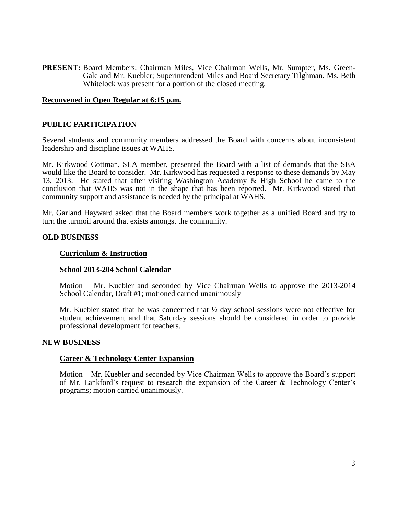**PRESENT:** Board Members: Chairman Miles, Vice Chairman Wells, Mr. Sumpter, Ms. Green-Gale and Mr. Kuebler; Superintendent Miles and Board Secretary Tilghman. Ms. Beth Whitelock was present for a portion of the closed meeting.

# **Reconvened in Open Regular at 6:15 p.m.**

# **PUBLIC PARTICIPATION**

Several students and community members addressed the Board with concerns about inconsistent leadership and discipline issues at WAHS.

Mr. Kirkwood Cottman, SEA member, presented the Board with a list of demands that the SEA would like the Board to consider. Mr. Kirkwood has requested a response to these demands by May 13, 2013. He stated that after visiting Washington Academy & High School he came to the conclusion that WAHS was not in the shape that has been reported. Mr. Kirkwood stated that community support and assistance is needed by the principal at WAHS.

Mr. Garland Hayward asked that the Board members work together as a unified Board and try to turn the turmoil around that exists amongst the community.

# **OLD BUSINESS**

#### **Curriculum & Instruction**

#### **School 2013-204 School Calendar**

Motion – Mr. Kuebler and seconded by Vice Chairman Wells to approve the 2013-2014 School Calendar, Draft #1; motioned carried unanimously

Mr. Kuebler stated that he was concerned that  $\frac{1}{2}$  day school sessions were not effective for student achievement and that Saturday sessions should be considered in order to provide professional development for teachers.

#### **NEW BUSINESS**

#### **Career & Technology Center Expansion**

Motion – Mr. Kuebler and seconded by Vice Chairman Wells to approve the Board's support of Mr. Lankford's request to research the expansion of the Career & Technology Center's programs; motion carried unanimously.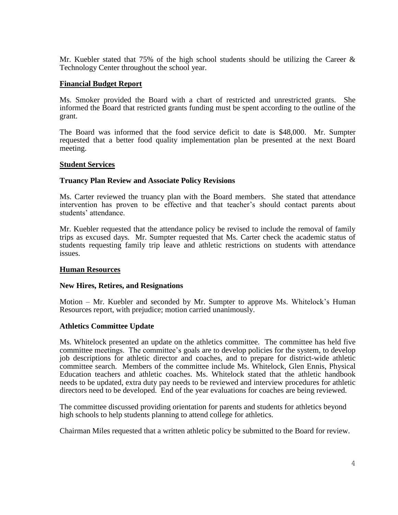Mr. Kuebler stated that 75% of the high school students should be utilizing the Career  $\&$ Technology Center throughout the school year.

# **Financial Budget Report**

Ms. Smoker provided the Board with a chart of restricted and unrestricted grants. She informed the Board that restricted grants funding must be spent according to the outline of the grant.

The Board was informed that the food service deficit to date is \$48,000. Mr. Sumpter requested that a better food quality implementation plan be presented at the next Board meeting.

#### **Student Services**

# **Truancy Plan Review and Associate Policy Revisions**

Ms. Carter reviewed the truancy plan with the Board members. She stated that attendance intervention has proven to be effective and that teacher's should contact parents about students' attendance.

Mr. Kuebler requested that the attendance policy be revised to include the removal of family trips as excused days. Mr. Sumpter requested that Ms. Carter check the academic status of students requesting family trip leave and athletic restrictions on students with attendance issues.

#### **Human Resources**

#### **New Hires, Retires, and Resignations**

Motion – Mr. Kuebler and seconded by Mr. Sumpter to approve Ms. Whitelock's Human Resources report, with prejudice; motion carried unanimously.

#### **Athletics Committee Update**

Ms. Whitelock presented an update on the athletics committee. The committee has held five committee meetings. The committee's goals are to develop policies for the system, to develop job descriptions for athletic director and coaches, and to prepare for district-wide athletic committee search. Members of the committee include Ms. Whitelock, Glen Ennis, Physical Education teachers and athletic coaches. Ms. Whitelock stated that the athletic handbook needs to be updated, extra duty pay needs to be reviewed and interview procedures for athletic directors need to be developed. End of the year evaluations for coaches are being reviewed.

The committee discussed providing orientation for parents and students for athletics beyond high schools to help students planning to attend college for athletics.

Chairman Miles requested that a written athletic policy be submitted to the Board for review.